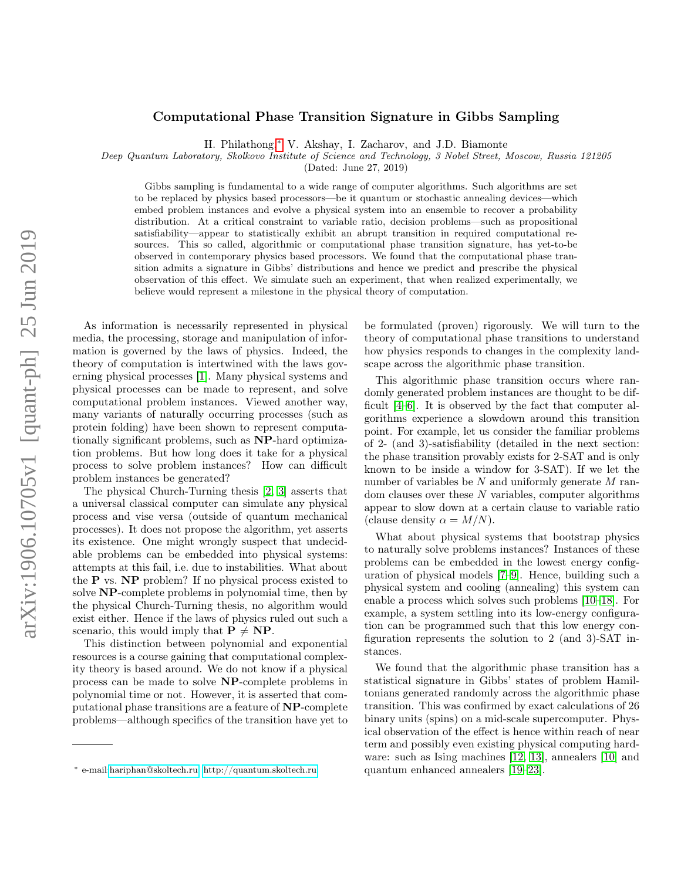## Computational Phase Transition Signature in Gibbs Sampling

H. Philathong,[∗](#page-0-0) V. Akshay, I. Zacharov, and J.D. Biamonte

Deep Quantum Laboratory, Skolkovo Institute of Science and Technology, 3 Nobel Street, Moscow, Russia 121205

(Dated: June 27, 2019)

Gibbs sampling is fundamental to a wide range of computer algorithms. Such algorithms are set to be replaced by physics based processors—be it quantum or stochastic annealing devices—which embed problem instances and evolve a physical system into an ensemble to recover a probability distribution. At a critical constraint to variable ratio, decision problems—such as propositional satisfiability—appear to statistically exhibit an abrupt transition in required computational resources. This so called, algorithmic or computational phase transition signature, has yet-to-be observed in contemporary physics based processors. We found that the computational phase transition admits a signature in Gibbs' distributions and hence we predict and prescribe the physical observation of this effect. We simulate such an experiment, that when realized experimentally, we believe would represent a milestone in the physical theory of computation.

As information is necessarily represented in physical media, the processing, storage and manipulation of information is governed by the laws of physics. Indeed, the theory of computation is intertwined with the laws governing physical processes [\[1\]](#page-3-0). Many physical systems and physical processes can be made to represent, and solve computational problem instances. Viewed another way, many variants of naturally occurring processes (such as protein folding) have been shown to represent computationally significant problems, such as NP-hard optimization problems. But how long does it take for a physical process to solve problem instances? How can difficult problem instances be generated?

The physical Church-Turning thesis [\[2,](#page-3-1) [3\]](#page-3-2) asserts that a universal classical computer can simulate any physical process and vise versa (outside of quantum mechanical processes). It does not propose the algorithm, yet asserts its existence. One might wrongly suspect that undecidable problems can be embedded into physical systems: attempts at this fail, i.e. due to instabilities. What about the P vs. NP problem? If no physical process existed to solve NP-complete problems in polynomial time, then by the physical Church-Turning thesis, no algorithm would exist either. Hence if the laws of physics ruled out such a scenario, this would imply that  $P \neq NP$ .

This distinction between polynomial and exponential resources is a course gaining that computational complexity theory is based around. We do not know if a physical process can be made to solve NP-complete problems in polynomial time or not. However, it is asserted that computational phase transitions are a feature of NP-complete problems—although specifics of the transition have yet to

be formulated (proven) rigorously. We will turn to the theory of computational phase transitions to understand how physics responds to changes in the complexity landscape across the algorithmic phase transition.

This algorithmic phase transition occurs where randomly generated problem instances are thought to be difficult [\[4](#page-3-3)[–6\]](#page-4-0). It is observed by the fact that computer algorithms experience a slowdown around this transition point. For example, let us consider the familiar problems of 2- (and 3)-satisfiability (detailed in the next section: the phase transition provably exists for 2-SAT and is only known to be inside a window for 3-SAT). If we let the number of variables be  $N$  and uniformly generate  $M$  random clauses over these N variables, computer algorithms appear to slow down at a certain clause to variable ratio (clause density  $\alpha = M/N$ ).

What about physical systems that bootstrap physics to naturally solve problems instances? Instances of these problems can be embedded in the lowest energy configuration of physical models [\[7–](#page-4-1)[9\]](#page-4-2). Hence, building such a physical system and cooling (annealing) this system can enable a process which solves such problems [\[10–](#page-4-3)[18\]](#page-5-0). For example, a system settling into its low-energy configuration can be programmed such that this low energy configuration represents the solution to 2 (and 3)-SAT instances.

We found that the algorithmic phase transition has a statistical signature in Gibbs' states of problem Hamiltonians generated randomly across the algorithmic phase transition. This was confirmed by exact calculations of 26 binary units (spins) on a mid-scale supercomputer. Physical observation of the effect is hence within reach of near term and possibly even existing physical computing hardware: such as Ising machines [\[12,](#page-4-4) [13\]](#page-4-5), annealers [\[10\]](#page-4-3) and quantum enhanced annealers [\[19–](#page-5-1)[23\]](#page-5-2).

<span id="page-0-0"></span><sup>∗</sup> e-mail[:hariphan@skoltech.ru;](mailto:hariphan@skoltech.ru)<http://quantum.skoltech.ru>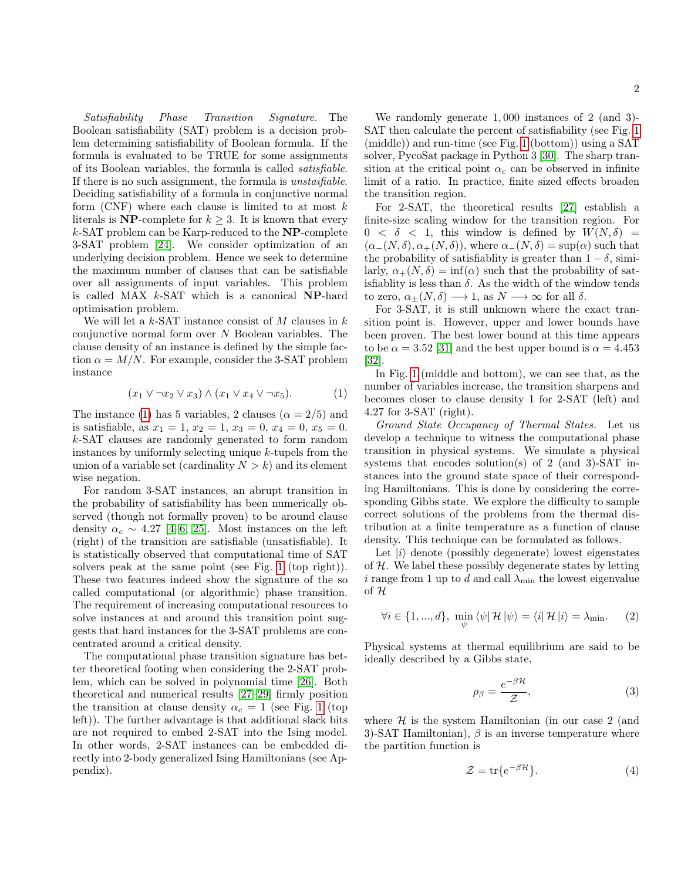Satisfiability Phase Transition Signature. The Boolean satisfiability (SAT) problem is a decision problem determining satisfiability of Boolean formula. If the formula is evaluated to be TRUE for some assignments of its Boolean variables, the formula is called satisfiable. If there is no such assignment, the formula is *unstaifiable*. Deciding satisfiability of a formula in conjunctive normal form  $(CNF)$  where each clause is limited to at most k literals is NP-complete for  $k \geq 3$ . It is known that every  $k$ -SAT problem can be Karp-reduced to the  $NP$ -complete 3-SAT problem [\[24\]](#page-5-3). We consider optimization of an underlying decision problem. Hence we seek to determine the maximum number of clauses that can be satisfiable over all assignments of input variables. This problem is called MAX  $k$ -SAT which is a canonical **NP**-hard optimisation problem.

We will let a  $k$ -SAT instance consist of M clauses in  $k$ conjunctive normal form over  $N$  Boolean variables. The clause density of an instance is defined by the simple faction  $\alpha = M/N$ . For example, consider the 3-SAT problem instance

<span id="page-1-0"></span>
$$
(x_1 \vee \neg x_2 \vee x_3) \wedge (x_1 \vee x_4 \vee \neg x_5). \tag{1}
$$

The instance [\(1\)](#page-1-0) has 5 variables, 2 clauses ( $\alpha = 2/5$ ) and is satisfiable, as  $x_1 = 1$ ,  $x_2 = 1$ ,  $x_3 = 0$ ,  $x_4 = 0$ ,  $x_5 = 0$ . k-SAT clauses are randomly generated to form random instances by uniformly selecting unique  $k$ -tupels from the union of a variable set (cardinality  $N > k$ ) and its element wise negation.

For random 3-SAT instances, an abrupt transition in the probability of satisfiability has been numerically observed (though not formally proven) to be around clause density  $\alpha_c \sim 4.27$  [\[4–](#page-3-3)[6,](#page-4-0) [25\]](#page-5-4). Most instances on the left (right) of the transition are satisfiable (unsatisfiable). It is statistically observed that computational time of SAT solvers peak at the same point (see Fig. [1](#page-2-0) (top right)). These two features indeed show the signature of the so called computational (or algorithmic) phase transition. The requirement of increasing computational resources to solve instances at and around this transition point suggests that hard instances for the 3-SAT problems are concentrated around a critical density.

The computational phase transition signature has better theoretical footing when considering the 2-SAT problem, which can be solved in polynomial time [\[26\]](#page-5-5). Both theoretical and numerical results [\[27–](#page-5-6)[29\]](#page-5-7) firmly position the transition at clause density  $\alpha_c = 1$  $\alpha_c = 1$  (see Fig. 1 (top left)). The further advantage is that additional slack bits are not required to embed 2-SAT into the Ising model. In other words, 2-SAT instances can be embedded directly into 2-body generalized Ising Hamiltonians (see Appendix).

We randomly generate 1, 000 instances of 2 (and 3)- SAT then calculate the percent of satisfiability (see Fig. [1](#page-2-0) (middle)) and run-time (see Fig. [1](#page-2-0) (bottom)) using a SAT solver, PycoSat package in Python 3 [\[30\]](#page-5-8). The sharp transition at the critical point  $\alpha_c$  can be observed in infinite limit of a ratio. In practice, finite sized effects broaden the transition region.

For 2-SAT, the theoretical results [\[27\]](#page-5-6) establish a finite-size scaling window for the transition region. For  $0 < \delta < 1$ , this window is defined by  $W(N, \delta)$  =  $(\alpha_{-}(N,\delta), \alpha_{+}(N,\delta))$ , where  $\alpha_{-}(N,\delta) = \sup(\alpha)$  such that the probability of satisfiablity is greater than  $1 - \delta$ , similarly,  $\alpha_{+}(N,\delta) = \inf(\alpha)$  such that the probability of satisfiablity is less than  $\delta$ . As the width of the window tends to zero,  $\alpha_{\pm}(N,\delta) \longrightarrow 1$ , as  $N \longrightarrow \infty$  for all  $\delta$ .

For 3-SAT, it is still unknown where the exact transition point is. However, upper and lower bounds have been proven. The best lower bound at this time appears to be  $\alpha = 3.52$  [\[31\]](#page-5-9) and the best upper bound is  $\alpha = 4.453$ [\[32\]](#page-5-10).

In Fig. [1](#page-2-0) (middle and bottom), we can see that, as the number of variables increase, the transition sharpens and becomes closer to clause density 1 for 2-SAT (left) and 4.27 for 3-SAT (right).

Ground State Occupancy of Thermal States. Let us develop a technique to witness the computational phase transition in physical systems. We simulate a physical systems that encodes solution(s) of 2 (and 3)-SAT instances into the ground state space of their corresponding Hamiltonians. This is done by considering the corresponding Gibbs state. We explore the difficulty to sample correct solutions of the problems from the thermal distribution at a finite temperature as a function of clause density. This technique can be formulated as follows.

Let  $|i\rangle$  denote (possibly degenerate) lowest eigenstates of  $H$ . We label these possibly degenerate states by letting i range from 1 up to d and call  $\lambda_{\min}$  the lowest eigenvalue of H

$$
\forall i \in \{1, ..., d\}, \min_{\psi} \langle \psi | \mathcal{H} | \psi \rangle = \langle i | \mathcal{H} | i \rangle = \lambda_{\min}.
$$
 (2)

Physical systems at thermal equilibrium are said to be ideally described by a Gibbs state,

$$
\rho_{\beta} = \frac{e^{-\beta \mathcal{H}}}{\mathcal{Z}},\tag{3}
$$

where  $H$  is the system Hamiltonian (in our case 2 (and 3)-SAT Hamiltonian),  $\beta$  is an inverse temperature where the partition function is

$$
\mathcal{Z} = \text{tr}\{e^{-\beta \mathcal{H}}\}.
$$
 (4)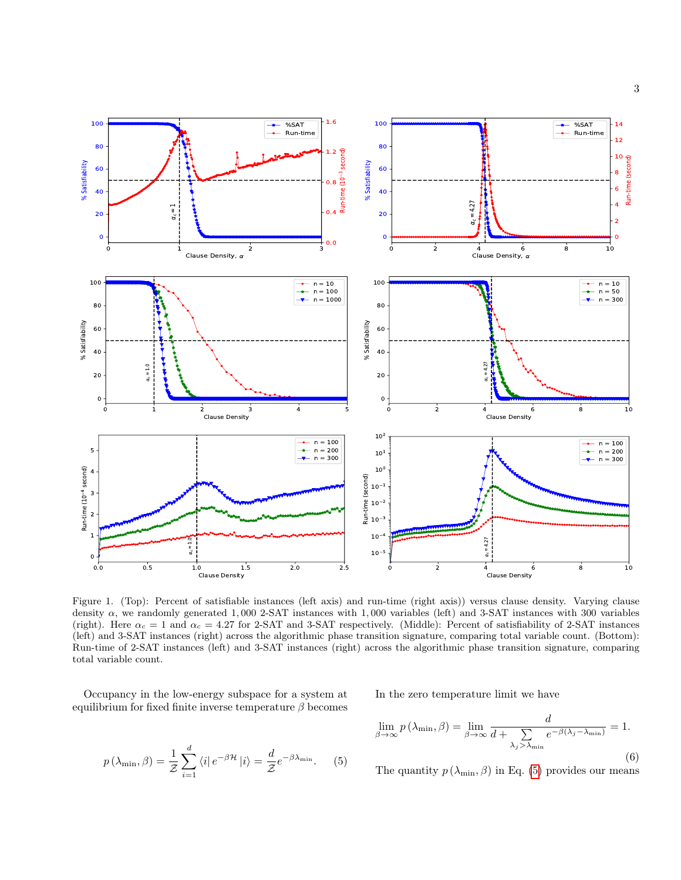

<span id="page-2-0"></span>Figure 1. (Top): Percent of satisfiable instances (left axis) and run-time (right axis)) versus clause density. Varying clause density  $\alpha$ , we randomly generated 1,000 2-SAT instances with 1,000 variables (left) and 3-SAT instances with 300 variables (right). Here  $\alpha_c = 1$  and  $\alpha_c = 4.27$  for 2-SAT and 3-SAT respectively. (Middle): Percent of satisfiability of 2-SAT instances (left) and 3-SAT instances (right) across the algorithmic phase transition signature, comparing total variable count. (Bottom): Run-time of 2-SAT instances (left) and 3-SAT instances (right) across the algorithmic phase transition signature, comparing total variable count.

Occupancy in the low-energy subspace for a system at equilibrium for fixed finite inverse temperature  $\beta$  becomes

> <span id="page-2-1"></span> $p\left(\lambda_{\min}, \beta\right) = \frac{1}{\mathcal{Z}}$  $\sum^d$  $i=1$  $\langle i|e^{-\beta \mathcal{H}}|i\rangle = \frac{d}{\sigma}$  $\frac{a}{\mathcal{Z}}e^{-\beta\lambda_{\min}}$ . (5)

In the zero temperature limit we have

$$
\lim_{\beta \to \infty} p(\lambda_{\min}, \beta) = \lim_{\beta \to \infty} \frac{d}{d + \sum_{\lambda_j > \lambda_{\min}} e^{-\beta(\lambda_j - \lambda_{\min})}} = 1.
$$
\n(6)

The quantity  $p(\lambda_{\min}, \beta)$  in Eq. [\(5\)](#page-2-1) provides our means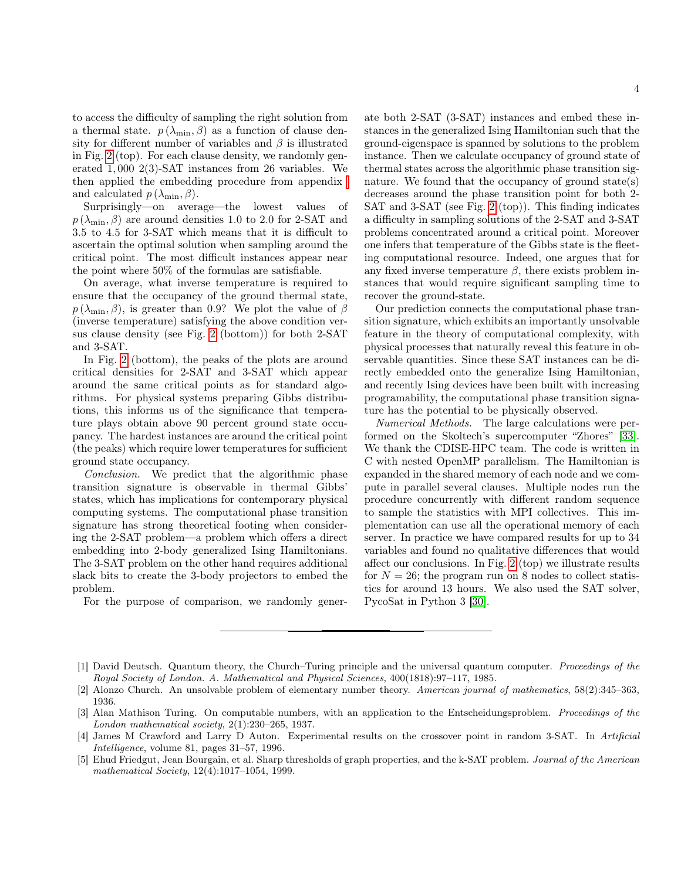to access the difficulty of sampling the right solution from a thermal state.  $p(\lambda_{\min}, \beta)$  as a function of clause density for different number of variables and  $\beta$  is illustrated in Fig. [2](#page-4-6) (top). For each clause density, we randomly generated 1, 000 2(3)-SAT instances from 26 variables. We then applied the embedding procedure from appendix and calculated  $p(\lambda_{\min}, \beta)$ .

Surprisingly—on average—the lowest values of  $p(\lambda_{\min}, \beta)$  are around densities 1.0 to 2.0 for 2-SAT and 3.5 to 4.5 for 3-SAT which means that it is difficult to ascertain the optimal solution when sampling around the critical point. The most difficult instances appear near the point where 50% of the formulas are satisfiable.

On average, what inverse temperature is required to ensure that the occupancy of the ground thermal state,  $p(\lambda_{\min}, \beta)$ , is greater than 0.9? We plot the value of  $\beta$ (inverse temperature) satisfying the above condition versus clause density (see Fig. [2](#page-4-6) (bottom)) for both 2-SAT and 3-SAT.

In Fig. [2](#page-4-6) (bottom), the peaks of the plots are around critical densities for 2-SAT and 3-SAT which appear around the same critical points as for standard algorithms. For physical systems preparing Gibbs distributions, this informs us of the significance that temperature plays obtain above 90 percent ground state occupancy. The hardest instances are around the critical point (the peaks) which require lower temperatures for sufficient ground state occupancy.

Conclusion. We predict that the algorithmic phase transition signature is observable in thermal Gibbs' states, which has implications for contemporary physical computing systems. The computational phase transition signature has strong theoretical footing when considering the 2-SAT problem—a problem which offers a direct embedding into 2-body generalized Ising Hamiltonians. The 3-SAT problem on the other hand requires additional slack bits to create the 3-body projectors to embed the problem.

For the purpose of comparison, we randomly gener-

ate both 2-SAT (3-SAT) instances and embed these instances in the generalized Ising Hamiltonian such that the ground-eigenspace is spanned by solutions to the problem instance. Then we calculate occupancy of ground state of thermal states across the algorithmic phase transition signature. We found that the occupancy of ground state(s) decreases around the phase transition point for both 2- SAT and 3-SAT (see Fig. [2](#page-4-6) (top)). This finding indicates a difficulty in sampling solutions of the 2-SAT and 3-SAT problems concentrated around a critical point. Moreover one infers that temperature of the Gibbs state is the fleeting computational resource. Indeed, one argues that for any fixed inverse temperature  $\beta$ , there exists problem instances that would require significant sampling time to recover the ground-state.

Our prediction connects the computational phase transition signature, which exhibits an importantly unsolvable feature in the theory of computational complexity, with physical processes that naturally reveal this feature in observable quantities. Since these SAT instances can be directly embedded onto the generalize Ising Hamiltonian, and recently Ising devices have been built with increasing programability, the computational phase transition signature has the potential to be physically observed.

Numerical Methods. The large calculations were performed on the Skoltech's supercomputer "Zhores" [\[33\]](#page-5-11). We thank the CDISE-HPC team. The code is written in C with nested OpenMP parallelism. The Hamiltonian is expanded in the shared memory of each node and we compute in parallel several clauses. Multiple nodes run the procedure concurrently with different random sequence to sample the statistics with MPI collectives. This implementation can use all the operational memory of each server. In practice we have compared results for up to 34 variables and found no qualitative differences that would affect our conclusions. In Fig. [2](#page-4-6) (top) we illustrate results for  $N = 26$ ; the program run on 8 nodes to collect statistics for around 13 hours. We also used the SAT solver, PycoSat in Python 3 [\[30\]](#page-5-8).

<span id="page-3-0"></span><sup>[1]</sup> David Deutsch. Quantum theory, the Church–Turing principle and the universal quantum computer. Proceedings of the Royal Society of London. A. Mathematical and Physical Sciences, 400(1818):97–117, 1985.

<span id="page-3-1"></span><sup>[2]</sup> Alonzo Church. An unsolvable problem of elementary number theory. American journal of mathematics, 58(2):345–363, 1936.

<span id="page-3-2"></span><sup>[3]</sup> Alan Mathison Turing. On computable numbers, with an application to the Entscheidungsproblem. Proceedings of the London mathematical society, 2(1):230–265, 1937.

<span id="page-3-3"></span><sup>[4]</sup> James M Crawford and Larry D Auton. Experimental results on the crossover point in random 3-SAT. In Artificial Intelligence, volume 81, pages 31–57, 1996.

<sup>[5]</sup> Ehud Friedgut, Jean Bourgain, et al. Sharp thresholds of graph properties, and the k-SAT problem. Journal of the American mathematical Society, 12(4):1017–1054, 1999.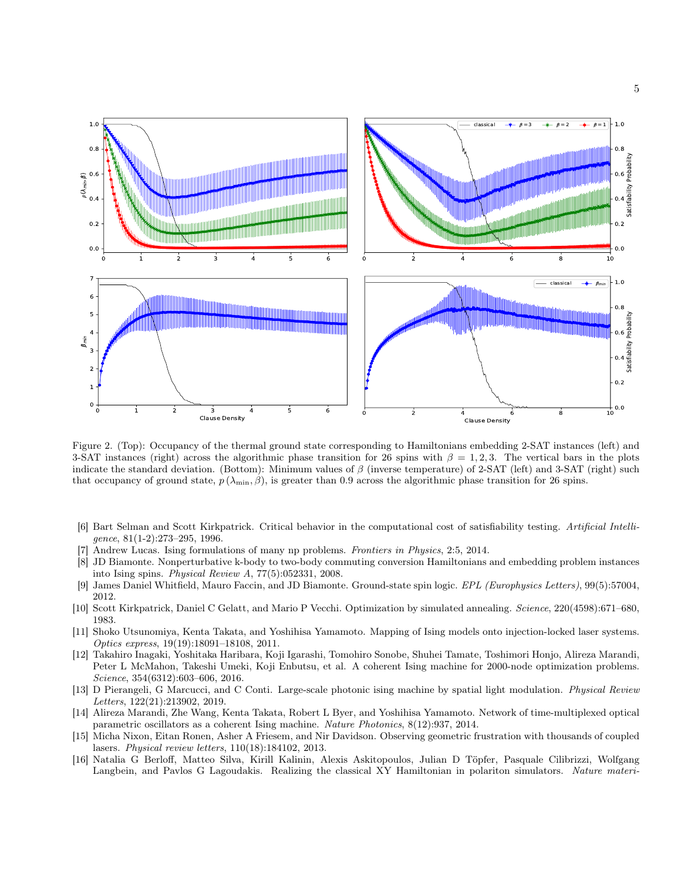

<span id="page-4-6"></span>Figure 2. (Top): Occupancy of the thermal ground state corresponding to Hamiltonians embedding 2-SAT instances (left) and 3-SAT instances (right) across the algorithmic phase transition for 26 spins with  $\beta = 1, 2, 3$ . The vertical bars in the plots indicate the standard deviation. (Bottom): Minimum values of  $\beta$  (inverse temperature) of 2-SAT (left) and 3-SAT (right) such that occupancy of ground state,  $p(\lambda_{\min}, \beta)$ , is greater than 0.9 across the algorithmic phase transition for 26 spins.

- <span id="page-4-0"></span>[6] Bart Selman and Scott Kirkpatrick. Critical behavior in the computational cost of satisfiability testing. Artificial Intelligence, 81(1-2):273–295, 1996.
- <span id="page-4-1"></span>Andrew Lucas. Ising formulations of many np problems. Frontiers in Physics, 2:5, 2014.
- <span id="page-4-7"></span>[8] JD Biamonte. Nonperturbative k-body to two-body commuting conversion Hamiltonians and embedding problem instances into Ising spins. Physical Review A, 77(5):052331, 2008.
- <span id="page-4-2"></span>[9] James Daniel Whitfield, Mauro Faccin, and JD Biamonte. Ground-state spin logic. EPL (Europhysics Letters), 99(5):57004, 2012.
- <span id="page-4-3"></span>[10] Scott Kirkpatrick, Daniel C Gelatt, and Mario P Vecchi. Optimization by simulated annealing. Science, 220(4598):671–680, 1983.
- [11] Shoko Utsunomiya, Kenta Takata, and Yoshihisa Yamamoto. Mapping of Ising models onto injection-locked laser systems. Optics express, 19(19):18091–18108, 2011.
- <span id="page-4-4"></span>[12] Takahiro Inagaki, Yoshitaka Haribara, Koji Igarashi, Tomohiro Sonobe, Shuhei Tamate, Toshimori Honjo, Alireza Marandi, Peter L McMahon, Takeshi Umeki, Koji Enbutsu, et al. A coherent Ising machine for 2000-node optimization problems. Science, 354(6312):603–606, 2016.
- <span id="page-4-5"></span>[13] D Pierangeli, G Marcucci, and C Conti. Large-scale photonic ising machine by spatial light modulation. Physical Review Letters, 122(21):213902, 2019.
- [14] Alireza Marandi, Zhe Wang, Kenta Takata, Robert L Byer, and Yoshihisa Yamamoto. Network of time-multiplexed optical parametric oscillators as a coherent Ising machine. Nature Photonics, 8(12):937, 2014.
- [15] Micha Nixon, Eitan Ronen, Asher A Friesem, and Nir Davidson. Observing geometric frustration with thousands of coupled lasers. Physical review letters, 110(18):184102, 2013.
- [16] Natalia G Berloff, Matteo Silva, Kirill Kalinin, Alexis Askitopoulos, Julian D Töpfer, Pasquale Cilibrizzi, Wolfgang Langbein, and Pavlos G Lagoudakis. Realizing the classical XY Hamiltonian in polariton simulators. Nature materi-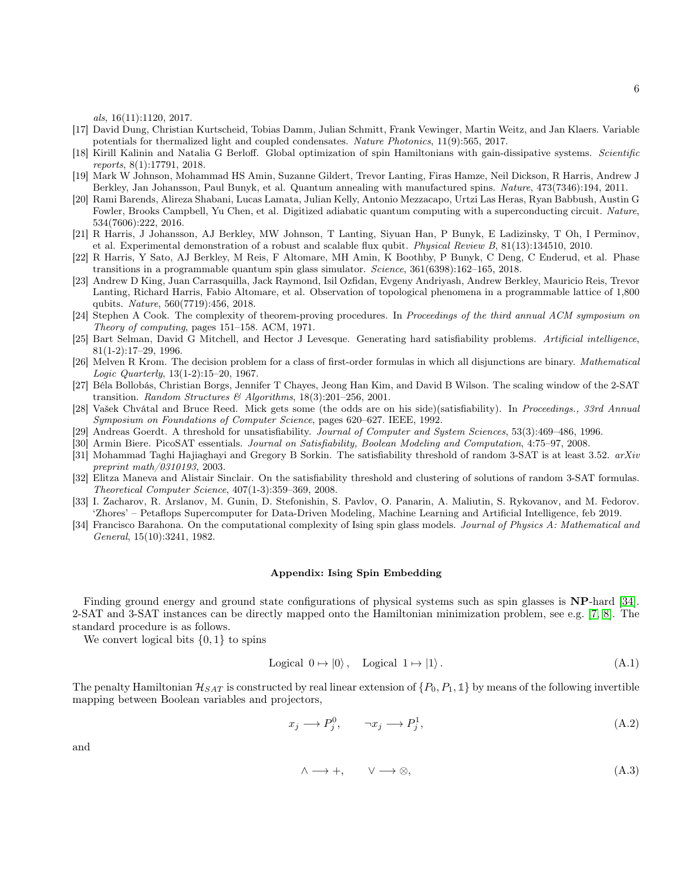als, 16(11):1120, 2017.

- [17] David Dung, Christian Kurtscheid, Tobias Damm, Julian Schmitt, Frank Vewinger, Martin Weitz, and Jan Klaers. Variable potentials for thermalized light and coupled condensates. Nature Photonics, 11(9):565, 2017.
- <span id="page-5-0"></span>[18] Kirill Kalinin and Natalia G Berloff. Global optimization of spin Hamiltonians with gain-dissipative systems. Scientific reports, 8(1):17791, 2018.
- <span id="page-5-1"></span>[19] Mark W Johnson, Mohammad HS Amin, Suzanne Gildert, Trevor Lanting, Firas Hamze, Neil Dickson, R Harris, Andrew J Berkley, Jan Johansson, Paul Bunyk, et al. Quantum annealing with manufactured spins. Nature, 473(7346):194, 2011.
- [20] Rami Barends, Alireza Shabani, Lucas Lamata, Julian Kelly, Antonio Mezzacapo, Urtzi Las Heras, Ryan Babbush, Austin G Fowler, Brooks Campbell, Yu Chen, et al. Digitized adiabatic quantum computing with a superconducting circuit. Nature, 534(7606):222, 2016.
- [21] R Harris, J Johansson, AJ Berkley, MW Johnson, T Lanting, Siyuan Han, P Bunyk, E Ladizinsky, T Oh, I Perminov, et al. Experimental demonstration of a robust and scalable flux qubit. Physical Review B, 81(13):134510, 2010.
- [22] R Harris, Y Sato, AJ Berkley, M Reis, F Altomare, MH Amin, K Boothby, P Bunyk, C Deng, C Enderud, et al. Phase transitions in a programmable quantum spin glass simulator. Science, 361(6398):162–165, 2018.
- <span id="page-5-2"></span>[23] Andrew D King, Juan Carrasquilla, Jack Raymond, Isil Ozfidan, Evgeny Andriyash, Andrew Berkley, Mauricio Reis, Trevor Lanting, Richard Harris, Fabio Altomare, et al. Observation of topological phenomena in a programmable lattice of 1,800 qubits. Nature, 560(7719):456, 2018.
- <span id="page-5-3"></span>[24] Stephen A Cook. The complexity of theorem-proving procedures. In Proceedings of the third annual ACM symposium on Theory of computing, pages 151–158. ACM, 1971.
- <span id="page-5-4"></span>[25] Bart Selman, David G Mitchell, and Hector J Levesque. Generating hard satisfiability problems. Artificial intelligence, 81(1-2):17–29, 1996.
- <span id="page-5-5"></span>[26] Melven R Krom. The decision problem for a class of first-order formulas in which all disjunctions are binary. Mathematical Logic Quarterly, 13(1-2):15–20, 1967.
- <span id="page-5-6"></span>[27] Béla Bollobás, Christian Borgs, Jennifer T Chayes, Jeong Han Kim, and David B Wilson. The scaling window of the 2-SAT transition. Random Structures & Algorithms, 18(3):201-256, 2001.
- [28] Vašek Chvátal and Bruce Reed. Mick gets some (the odds are on his side)(satisfiability). In Proceedings., 33rd Annual Symposium on Foundations of Computer Science, pages 620–627. IEEE, 1992.
- <span id="page-5-7"></span>[29] Andreas Goerdt. A threshold for unsatisfiability. Journal of Computer and System Sciences, 53(3):469–486, 1996.

<span id="page-5-8"></span>[30] Armin Biere. PicoSAT essentials. Journal on Satisfiability, Boolean Modeling and Computation, 4:75–97, 2008.

- <span id="page-5-9"></span>[31] Mohammad Taghi Hajiaghayi and Gregory B Sorkin. The satisfiability threshold of random 3-SAT is at least 3.52. arXiv preprint math/0310193, 2003.
- <span id="page-5-10"></span>[32] Elitza Maneva and Alistair Sinclair. On the satisfiability threshold and clustering of solutions of random 3-SAT formulas. Theoretical Computer Science, 407(1-3):359–369, 2008.
- <span id="page-5-11"></span>[33] I. Zacharov, R. Arslanov, M. Gunin, D. Stefonishin, S. Pavlov, O. Panarin, A. Maliutin, S. Rykovanov, and M. Fedorov. 'Zhores' – Petaflops Supercomputer for Data-Driven Modeling, Machine Learning and Artificial Intelligence, feb 2019.
- <span id="page-5-12"></span>[34] Francisco Barahona. On the computational complexity of Ising spin glass models. Journal of Physics A: Mathematical and General, 15(10):3241, 1982.

## Appendix: Ising Spin Embedding

Finding ground energy and ground state configurations of physical systems such as spin glasses is NP-hard [\[34\]](#page-5-12). 2-SAT and 3-SAT instances can be directly mapped onto the Hamiltonian minimization problem, see e.g. [\[7,](#page-4-1) [8\]](#page-4-7). The standard procedure is as follows.

We convert logical bits  $\{0, 1\}$  to spins

$$
Logical 0 \mapsto |0\rangle, \quad Logical 1 \mapsto |1\rangle. \tag{A.1}
$$

The penalty Hamiltonian  $\mathcal{H}_{SAT}$  is constructed by real linear extension of  $\{P_0, P_1, \mathbb{1}\}$  by means of the following invertible mapping between Boolean variables and projectors,

$$
x_j \longrightarrow P_j^0, \qquad \neg x_j \longrightarrow P_j^1,\tag{A.2}
$$

and

$$
\wedge \longrightarrow +, \qquad \vee \longrightarrow \otimes,
$$
\n
$$
(A.3)
$$